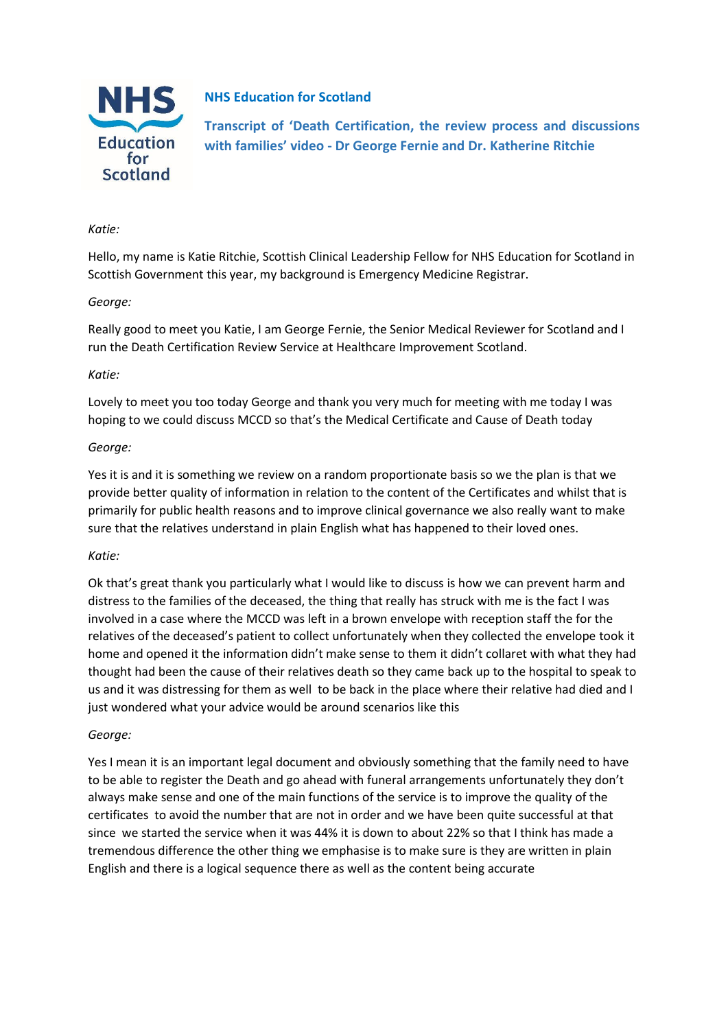

# **NHS Education for Scotland**

**Transcript of 'Death Certification, the review process and discussions with families' video - Dr George Fernie and Dr. Katherine Ritchie**

## *Katie:*

Hello, my name is Katie Ritchie, Scottish Clinical Leadership Fellow for NHS Education for Scotland in Scottish Government this year, my background is Emergency Medicine Registrar.

# *George:*

Really good to meet you Katie, I am George Fernie, the Senior Medical Reviewer for Scotland and I run the Death Certification Review Service at Healthcare Improvement Scotland.

## *Katie:*

Lovely to meet you too today George and thank you very much for meeting with me today I was hoping to we could discuss MCCD so that's the Medical Certificate and Cause of Death today

## *George:*

Yes it is and it is something we review on a random proportionate basis so we the plan is that we provide better quality of information in relation to the content of the Certificates and whilst that is primarily for public health reasons and to improve clinical governance we also really want to make sure that the relatives understand in plain English what has happened to their loved ones.

# *Katie:*

Ok that's great thank you particularly what I would like to discuss is how we can prevent harm and distress to the families of the deceased, the thing that really has struck with me is the fact I was involved in a case where the MCCD was left in a brown envelope with reception staff the for the relatives of the deceased's patient to collect unfortunately when they collected the envelope took it home and opened it the information didn't make sense to them it didn't collaret with what they had thought had been the cause of their relatives death so they came back up to the hospital to speak to us and it was distressing for them as well to be back in the place where their relative had died and I just wondered what your advice would be around scenarios like this

#### *George:*

Yes I mean it is an important legal document and obviously something that the family need to have to be able to register the Death and go ahead with funeral arrangements unfortunately they don't always make sense and one of the main functions of the service is to improve the quality of the certificates to avoid the number that are not in order and we have been quite successful at that since we started the service when it was 44% it is down to about 22% so that I think has made a tremendous difference the other thing we emphasise is to make sure is they are written in plain English and there is a logical sequence there as well as the content being accurate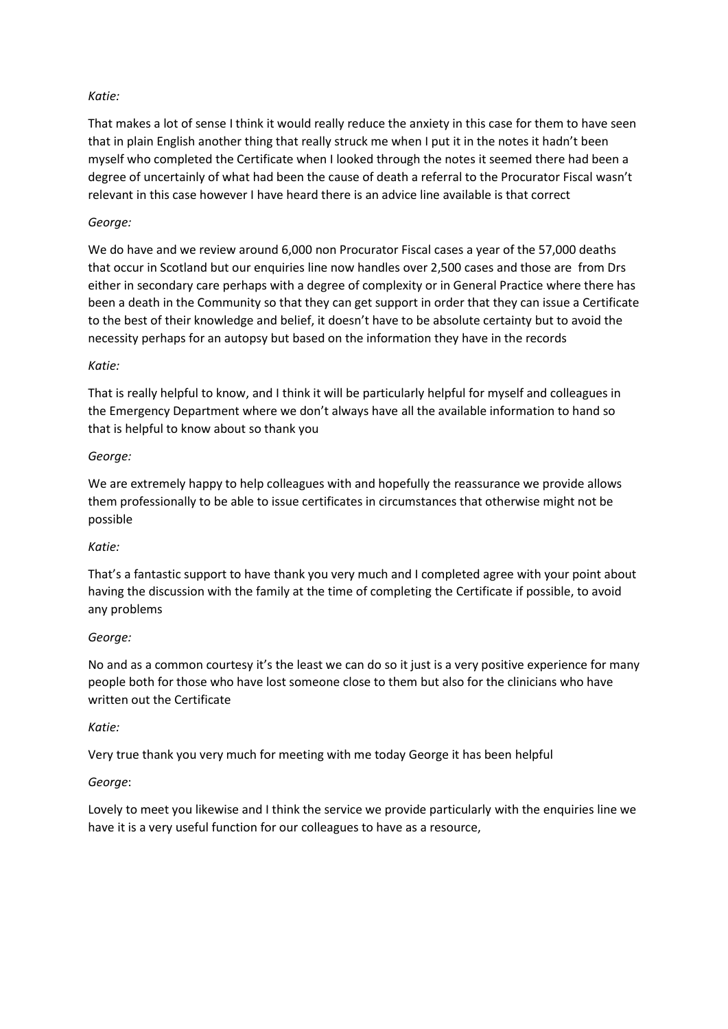# *Katie:*

That makes a lot of sense I think it would really reduce the anxiety in this case for them to have seen that in plain English another thing that really struck me when I put it in the notes it hadn't been myself who completed the Certificate when I looked through the notes it seemed there had been a degree of uncertainly of what had been the cause of death a referral to the Procurator Fiscal wasn't relevant in this case however I have heard there is an advice line available is that correct

# *George:*

We do have and we review around 6,000 non Procurator Fiscal cases a year of the 57,000 deaths that occur in Scotland but our enquiries line now handles over 2,500 cases and those are from Drs either in secondary care perhaps with a degree of complexity or in General Practice where there has been a death in the Community so that they can get support in order that they can issue a Certificate to the best of their knowledge and belief, it doesn't have to be absolute certainty but to avoid the necessity perhaps for an autopsy but based on the information they have in the records

# *Katie:*

That is really helpful to know, and I think it will be particularly helpful for myself and colleagues in the Emergency Department where we don't always have all the available information to hand so that is helpful to know about so thank you

# *George:*

We are extremely happy to help colleagues with and hopefully the reassurance we provide allows them professionally to be able to issue certificates in circumstances that otherwise might not be possible

# *Katie:*

That's a fantastic support to have thank you very much and I completed agree with your point about having the discussion with the family at the time of completing the Certificate if possible, to avoid any problems

# *George:*

No and as a common courtesy it's the least we can do so it just is a very positive experience for many people both for those who have lost someone close to them but also for the clinicians who have written out the Certificate

# *Katie:*

Very true thank you very much for meeting with me today George it has been helpful

# *George*:

Lovely to meet you likewise and I think the service we provide particularly with the enquiries line we have it is a very useful function for our colleagues to have as a resource,